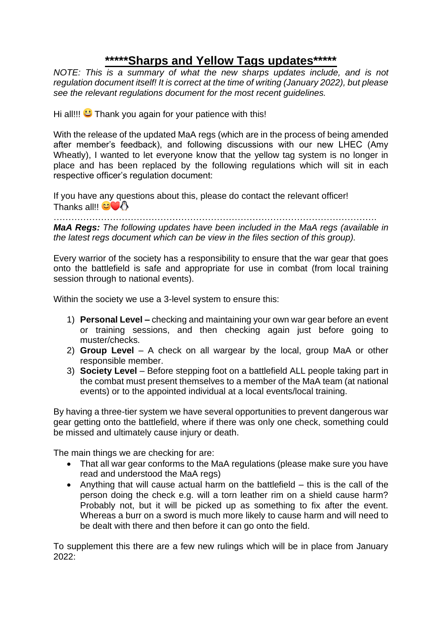## **\*\*\*\*\*Sharps and Yellow Tags updates\*\*\*\*\***

*NOTE: This is a summary of what the new sharps updates include, and is not regulation document itself! It is correct at the time of writing (January 2022), but please see the relevant regulations document for the most recent guidelines.* 

Hi all!!!  $\bigcup$  Thank you again for your patience with this!

With the release of the updated MaA regs (which are in the process of being amended after member's feedback), and following discussions with our new LHEC (Amy Wheatly), I wanted to let everyone know that the yellow tag system is no longer in place and has been replaced by the following regulations which will sit in each respective officer's regulation document:

If you have any questions about this, please do contact the relevant officer! Thanks all!!  $\mathbb{CO} \mathbb{C}$ 

………………………………………………………………………………………………. *MaA Regs: The following updates have been included in the MaA regs (available in the latest regs document which can be view in the files section of this group).*

Every warrior of the society has a responsibility to ensure that the war gear that goes onto the battlefield is safe and appropriate for use in combat (from local training session through to national events).

Within the society we use a 3-level system to ensure this:

- 1) **Personal Level –** checking and maintaining your own war gear before an event or training sessions, and then checking again just before going to muster/checks.
- 2) **Group Level** A check on all wargear by the local, group MaA or other responsible member.
- 3) **Society Level** Before stepping foot on a battlefield ALL people taking part in the combat must present themselves to a member of the MaA team (at national events) or to the appointed individual at a local events/local training.

By having a three-tier system we have several opportunities to prevent dangerous war gear getting onto the battlefield, where if there was only one check, something could be missed and ultimately cause injury or death.

The main things we are checking for are:

- That all war gear conforms to the MaA regulations (please make sure you have read and understood the MaA regs)
- Anything that will cause actual harm on the battlefield this is the call of the person doing the check e.g. will a torn leather rim on a shield cause harm? Probably not, but it will be picked up as something to fix after the event. Whereas a burr on a sword is much more likely to cause harm and will need to be dealt with there and then before it can go onto the field.

To supplement this there are a few new rulings which will be in place from January 2022: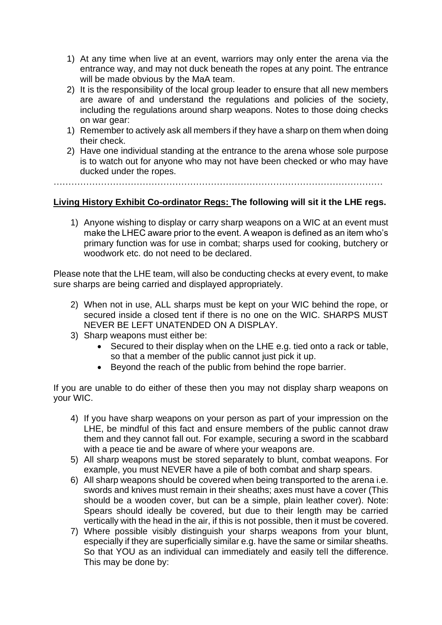- 1) At any time when live at an event, warriors may only enter the arena via the entrance way, and may not duck beneath the ropes at any point. The entrance will be made obvious by the MaA team.
- 2) It is the responsibility of the local group leader to ensure that all new members are aware of and understand the regulations and policies of the society, including the regulations around sharp weapons. Notes to those doing checks on war gear:
- 1) Remember to actively ask all members if they have a sharp on them when doing their check.
- 2) Have one individual standing at the entrance to the arena whose sole purpose is to watch out for anyone who may not have been checked or who may have ducked under the ropes.

…………………………………………………………………………………………………

## **Living History Exhibit Co-ordinator Regs: The following will sit it the LHE regs.**

1) Anyone wishing to display or carry sharp weapons on a WIC at an event must make the LHEC aware prior to the event. A weapon is defined as an item who's primary function was for use in combat; sharps used for cooking, butchery or woodwork etc. do not need to be declared.

Please note that the LHE team, will also be conducting checks at every event, to make sure sharps are being carried and displayed appropriately.

- 2) When not in use, ALL sharps must be kept on your WIC behind the rope, or secured inside a closed tent if there is no one on the WIC. SHARPS MUST NEVER BE LEFT UNATENDED ON A DISPLAY.
- 3) Sharp weapons must either be:
	- Secured to their display when on the LHE e.g. tied onto a rack or table, so that a member of the public cannot just pick it up.
	- Beyond the reach of the public from behind the rope barrier.

If you are unable to do either of these then you may not display sharp weapons on your WIC.

- 4) If you have sharp weapons on your person as part of your impression on the LHE, be mindful of this fact and ensure members of the public cannot draw them and they cannot fall out. For example, securing a sword in the scabbard with a peace tie and be aware of where your weapons are.
- 5) All sharp weapons must be stored separately to blunt, combat weapons. For example, you must NEVER have a pile of both combat and sharp spears.
- 6) All sharp weapons should be covered when being transported to the arena i.e. swords and knives must remain in their sheaths; axes must have a cover (This should be a wooden cover, but can be a simple, plain leather cover). Note: Spears should ideally be covered, but due to their length may be carried vertically with the head in the air, if this is not possible, then it must be covered.
- 7) Where possible visibly distinguish your sharps weapons from your blunt, especially if they are superficially similar e.g. have the same or similar sheaths. So that YOU as an individual can immediately and easily tell the difference. This may be done by: